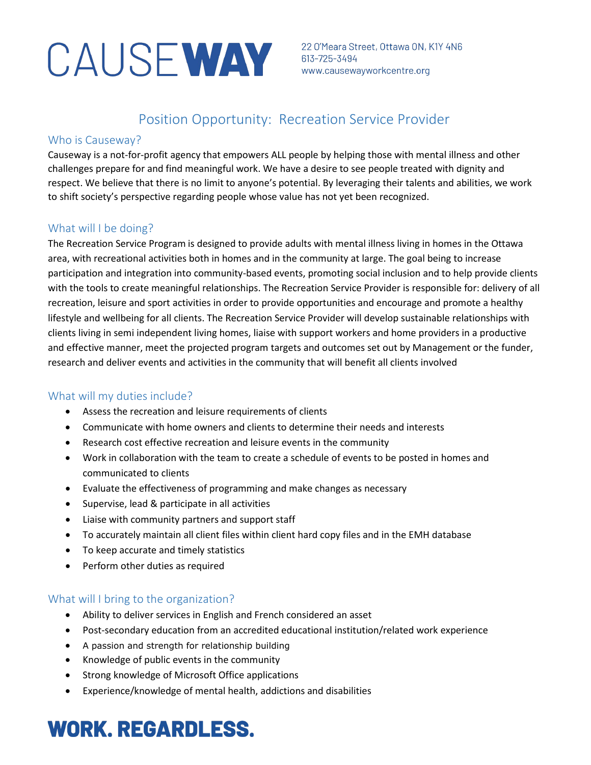# CAUSE WAY 22 O'Meara Street, Ottawa ON, K1Y 4N6

## Position Opportunity: Recreation Service Provider

## Who is Causeway?

Causeway is a not-for-profit agency that empowers ALL people by helping those with mental illness and other challenges prepare for and find meaningful work. We have a desire to see people treated with dignity and respect. We believe that there is no limit to anyone's potential. By leveraging their talents and abilities, we work to shift society's perspective regarding people whose value has not yet been recognized.

## What will I be doing?

The Recreation Service Program is designed to provide adults with mental illness living in homes in the Ottawa area, with recreational activities both in homes and in the community at large. The goal being to increase participation and integration into community-based events, promoting social inclusion and to help provide clients with the tools to create meaningful relationships. The Recreation Service Provider is responsible for: delivery of all recreation, leisure and sport activities in order to provide opportunities and encourage and promote a healthy lifestyle and wellbeing for all clients. The Recreation Service Provider will develop sustainable relationships with clients living in semi independent living homes, liaise with support workers and home providers in a productive and effective manner, meet the projected program targets and outcomes set out by Management or the funder, research and deliver events and activities in the community that will benefit all clients involved

## What will my duties include?

- Assess the recreation and leisure requirements of clients
- Communicate with home owners and clients to determine their needs and interests
- Research cost effective recreation and leisure events in the community
- Work in collaboration with the team to create a schedule of events to be posted in homes and communicated to clients
- Evaluate the effectiveness of programming and make changes as necessary
- Supervise, lead & participate in all activities
- Liaise with community partners and support staff
- To accurately maintain all client files within client hard copy files and in the EMH database
- To keep accurate and timely statistics
- Perform other duties as required

## What will I bring to the organization?

- Ability to deliver services in English and French considered an asset
- Post-secondary education from an accredited educational institution/related work experience
- A passion and strength for relationship building
- Knowledge of public events in the community
- Strong knowledge of Microsoft Office applications
- Experience/knowledge of mental health, addictions and disabilities

## **WORK. REGARDLESS.**